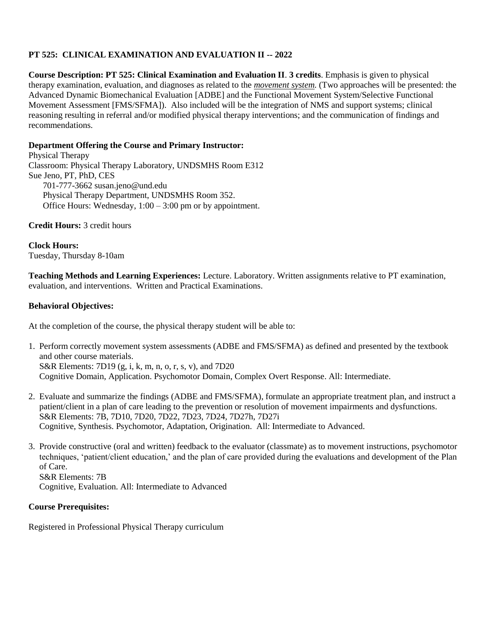# **PT 525: CLINICAL EXAMINATION AND EVALUATION II -- 2022**

**Course Description: PT 525: Clinical Examination and Evaluation II**. **3 credits**. Emphasis is given to physical therapy examination, evaluation, and diagnoses as related to the *movement system.* (Two approaches will be presented: the Advanced Dynamic Biomechanical Evaluation [ADBE] and the Functional Movement System/Selective Functional Movement Assessment [FMS/SFMA]). Also included will be the integration of NMS and support systems; clinical reasoning resulting in referral and/or modified physical therapy interventions; and the communication of findings and recommendations.

## **Department Offering the Course and Primary Instructor:**

Physical Therapy Classroom: Physical Therapy Laboratory, UNDSMHS Room E312 Sue Jeno, PT, PhD, CES 701-777-3662 susan.jeno@und.edu Physical Therapy Department, UNDSMHS Room 352. Office Hours: Wednesday, 1:00 – 3:00 pm or by appointment.

### **Credit Hours:** 3 credit hours

**Clock Hours:** Tuesday, Thursday 8-10am

**Teaching Methods and Learning Experiences:** Lecture. Laboratory. Written assignments relative to PT examination, evaluation, and interventions. Written and Practical Examinations.

## **Behavioral Objectives:**

At the completion of the course, the physical therapy student will be able to:

- 1. Perform correctly movement system assessments (ADBE and FMS/SFMA) as defined and presented by the textbook and other course materials. S&R Elements: 7D19 (g, i, k, m, n, o, r, s, v), and 7D20 Cognitive Domain, Application. Psychomotor Domain, Complex Overt Response. All: Intermediate.
- 2. Evaluate and summarize the findings (ADBE and FMS/SFMA), formulate an appropriate treatment plan, and instruct a patient/client in a plan of care leading to the prevention or resolution of movement impairments and dysfunctions. S&R Elements: 7B, 7D10, 7D20, 7D22, 7D23, 7D24, 7D27h, 7D27i Cognitive, Synthesis. Psychomotor, Adaptation, Origination. All: Intermediate to Advanced.
- 3. Provide constructive (oral and written) feedback to the evaluator (classmate) as to movement instructions, psychomotor techniques, 'patient/client education,' and the plan of care provided during the evaluations and development of the Plan of Care. S&R Elements: 7B

Cognitive, Evaluation. All: Intermediate to Advanced

# **Course Prerequisites:**

Registered in Professional Physical Therapy curriculum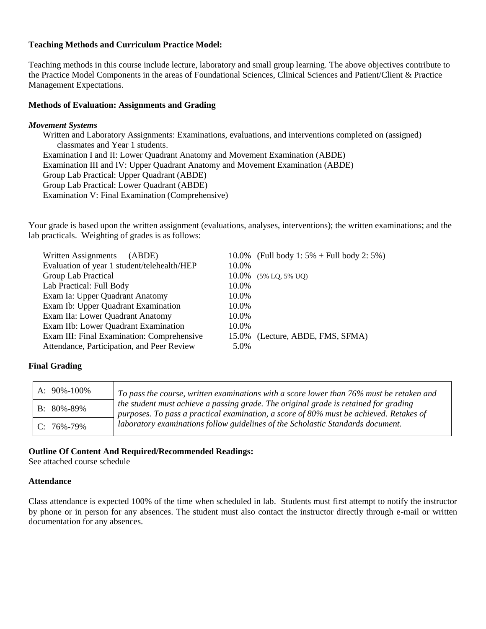### **Teaching Methods and Curriculum Practice Model:**

Teaching methods in this course include lecture, laboratory and small group learning. The above objectives contribute to the Practice Model Components in the areas of Foundational Sciences, Clinical Sciences and Patient/Client & Practice Management Expectations.

#### **Methods of Evaluation: Assignments and Grading**

#### *Movement Systems*

Written and Laboratory Assignments: Examinations, evaluations, and interventions completed on (assigned) classmates and Year 1 students. Examination I and II: Lower Quadrant Anatomy and Movement Examination (ABDE) Examination III and IV: Upper Quadrant Anatomy and Movement Examination (ABDE) Group Lab Practical: Upper Quadrant (ABDE) Group Lab Practical: Lower Quadrant (ABDE) Examination V: Final Examination (Comprehensive)

Your grade is based upon the written assignment (evaluations, analyses, interventions); the written examinations; and the lab practicals. Weighting of grades is as follows:

| Written Assignments<br>(ABDE)               | 10.0% (Full body 1: $5\%$ + Full body 2: 5%) |
|---------------------------------------------|----------------------------------------------|
| Evaluation of year 1 student/telehealth/HEP | 10.0%                                        |
| Group Lab Practical                         | 10.0%<br>$(5\%$ LO, $5\%$ UO)                |
| Lab Practical: Full Body                    | 10.0%                                        |
| Exam Ia: Upper Quadrant Anatomy             | 10.0%                                        |
| Exam Ib: Upper Quadrant Examination         | 10.0%                                        |
| Exam IIa: Lower Quadrant Anatomy            | 10.0%                                        |
| Exam IIb: Lower Quadrant Examination        | 10.0%                                        |
| Exam III: Final Examination: Comprehensive  | 15.0% (Lecture, ABDE, FMS, SFMA)             |
| Attendance, Participation, and Peer Review  | 5.0%                                         |

#### **Final Grading**

| A: 90%-100%      | To pass the course, written examinations with a score lower than 76% must be retaken and                                                                                       |
|------------------|--------------------------------------------------------------------------------------------------------------------------------------------------------------------------------|
| $B: 80\% - 89\%$ | the student must achieve a passing grade. The original grade is retained for grading<br>purposes. To pass a practical examination, a score of 80% must be achieved. Retakes of |
| $C: 76\% - 79\%$ | laboratory examinations follow guidelines of the Scholastic Standards document.                                                                                                |

#### **Outline Of Content And Required/Recommended Readings:**

See attached course schedule

#### **Attendance**

Class attendance is expected 100% of the time when scheduled in lab. Students must first attempt to notify the instructor by phone or in person for any absences. The student must also contact the instructor directly through e-mail or written documentation for any absences.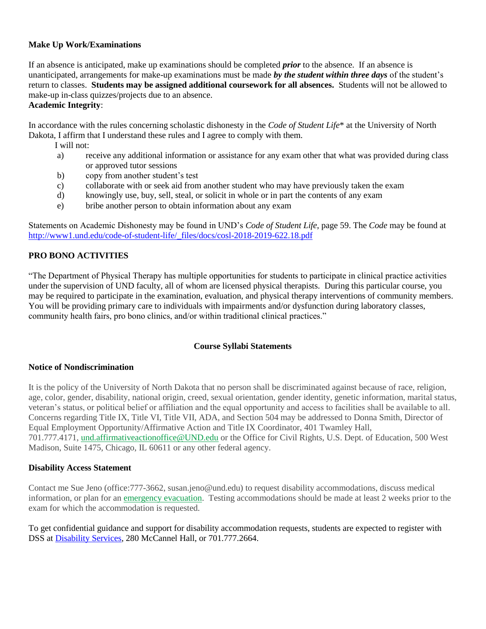### **Make Up Work/Examinations**

If an absence is anticipated, make up examinations should be completed *prior* to the absence. If an absence is unanticipated, arrangements for make-up examinations must be made *by the student within three days* of the student's return to classes. **Students may be assigned additional coursework for all absences.** Students will not be allowed to make-up in-class quizzes/projects due to an absence. **Academic Integrity**:

In accordance with the rules concerning scholastic dishonesty in the *Code of Student Life*\* at the University of North Dakota, I affirm that I understand these rules and I agree to comply with them.

- I will not:
- a) receive any additional information or assistance for any exam other that what was provided during class or approved tutor sessions
- b) copy from another student's test
- c) collaborate with or seek aid from another student who may have previously taken the exam
- d) knowingly use, buy, sell, steal, or solicit in whole or in part the contents of any exam
- e) bribe another person to obtain information about any exam

Statements on Academic Dishonesty may be found in UND's *Code of Student Life*, page 59. The *Code* may be found at [http://www1.und.edu/code-of-student-life/\\_files/docs/cosl-2018-2019-622.18.pdf](http://www1.und.edu/code-of-student-life/_files/docs/cosl-2018-2019-622.18.pdf)

# **PRO BONO ACTIVITIES**

"The Department of Physical Therapy has multiple opportunities for students to participate in clinical practice activities under the supervision of UND faculty, all of whom are licensed physical therapists. During this particular course, you may be required to participate in the examination, evaluation, and physical therapy interventions of community members. You will be providing primary care to individuals with impairments and/or dysfunction during laboratory classes, community health fairs, pro bono clinics, and/or within traditional clinical practices."

### **Course Syllabi Statements**

### **Notice of Nondiscrimination**

It is the policy of the University of North Dakota that no person shall be discriminated against because of race, religion, age, color, gender, disability, national origin, creed, sexual orientation, gender identity, genetic information, marital status, veteran's status, or political belief or affiliation and the equal opportunity and access to facilities shall be available to all. Concerns regarding Title IX, Title VI, Title VII, ADA, and Section 504 may be addressed to Donna Smith, Director of Equal Employment Opportunity/Affirmative Action and Title IX Coordinator, 401 Twamley Hall, 701.777.4171, [und.affirmativeactionoffice@UND.edu](mailto:und.affirmativeactionoffice@UND.edu) or the Office for Civil Rights, U.S. Dept. of Education, 500 West Madison, Suite 1475, Chicago, IL 60611 or any other federal agency.

### **Disability Access Statement**

Contact me Sue Jeno (office:777-3662, susan.jeno@und.edu) to request disability accommodations, discuss medical information, or plan for an [emergency evacuation.](http://www1.und.edu/public-safety/public-safety/fire-safety.cfm) Testing accommodations should be made at least 2 weeks prior to the exam for which the accommodation is requested.

To get confidential guidance and support for disability accommodation requests, students are expected to register with DSS at [Disability Services,](https://und.edu/student-life/disability-services/) 280 McCannel Hall, or 701.777.2664.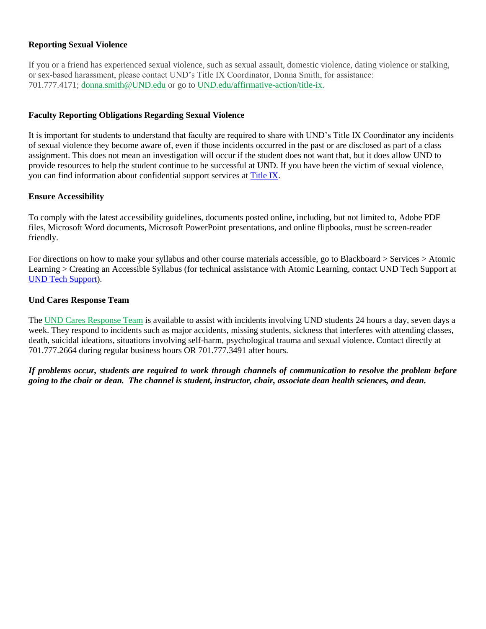### **Reporting Sexual Violence**

If you or a friend has experienced sexual violence, such as sexual assault, domestic violence, dating violence or stalking, or sex-based harassment, please contact UND's Title IX Coordinator, Donna Smith, for assistance: 701.777.4171; [donna.smith@UND.edu](mailto:donna.smith@UND.edu) or go to [UND.edu/affirmative-action/title-ix.](http://www1.und.edu/affirmative-action/title-ix/index.cfm)

## **Faculty Reporting Obligations Regarding Sexual Violence**

It is important for students to understand that faculty are required to share with UND's Title IX Coordinator any incidents of sexual violence they become aware of, even if those incidents occurred in the past or are disclosed as part of a class assignment. This does not mean an investigation will occur if the student does not want that, but it does allow UND to provide resources to help the student continue to be successful at UND. If you have been the victim of sexual violence, you can find information about confidential support services at [Title IX.](https://campus.und.edu/equal-opportunity/title-ix.html)

## **Ensure Accessibility**

To comply with the latest accessibility guidelines, documents posted online, including, but not limited to, Adobe PDF files, Microsoft Word documents, Microsoft PowerPoint presentations, and online flipbooks, must be screen-reader friendly.

For directions on how to make your syllabus and other course materials accessible, go to Blackboard > Services > Atomic Learning > Creating an Accessible Syllabus (for technical assistance with Atomic Learning, contact UND Tech Support at [UND Tech Support\)](https://campus.und.edu/campus-services/uit/tech-support-user.html).

### **Und Cares Response Team**

The [UND Cares Response Team](http://und.edu/student-affairs/student-rights-responsibilities/care-team.cfm) is available to assist with incidents involving UND students 24 hours a day, seven days a week. They respond to incidents such as major accidents, missing students, sickness that interferes with attending classes, death, suicidal ideations, situations involving self-harm, psychological trauma and sexual violence. Contact directly at 701.777.2664 during regular business hours OR 701.777.3491 after hours.

*If problems occur, students are required to work through channels of communication to resolve the problem before going to the chair or dean. The channel is student, instructor, chair, associate dean health sciences, and dean.*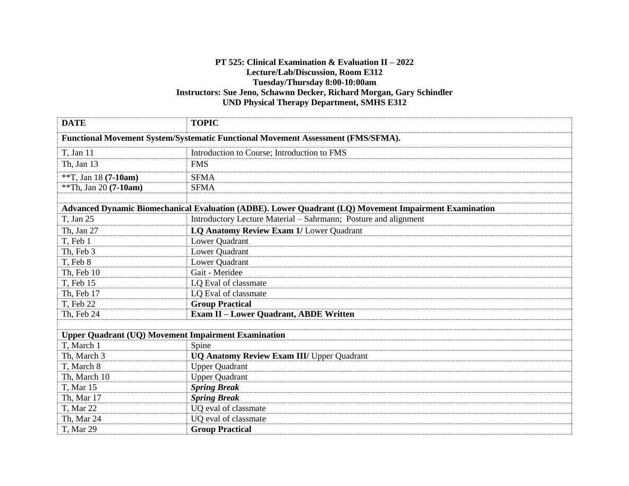## **PT 525: Clinical Examination & Evaluation II – 2022 Lecture/Lab/Discussion, Room E312 Tuesday/Thursday 8:00-10:00am Instructors: Sue Jeno, Schawnn Decker, Richard Morgan, Gary Schindler UND Physical Therapy Department, SMHS E312**

| <b>DATE</b>                                                                                           | <b>TOPIC</b>                                                    |  |
|-------------------------------------------------------------------------------------------------------|-----------------------------------------------------------------|--|
| <b>Functional Movement System/Systematic Functional Movement Assessment (FMS/SFMA).</b>               |                                                                 |  |
| T, Jan 11                                                                                             | Introduction to Course; Introduction to FMS                     |  |
| Th, Jan 13                                                                                            | <b>FMS</b>                                                      |  |
| **T, Jan 18 (7-10am)                                                                                  | <b>SFMA</b>                                                     |  |
| **Th, Jan 20 (7-10am)                                                                                 | <b>SFMA</b>                                                     |  |
|                                                                                                       |                                                                 |  |
| Advanced Dynamic Biomechanical Evaluation (ADBE). Lower Quadrant (LQ) Movement Impairment Examination |                                                                 |  |
| T, Jan 25                                                                                             | Introductory Lecture Material – Sahrmann; Posture and alignment |  |
| Th, Jan 27                                                                                            | LQ Anatomy Review Exam 1/ Lower Quadrant                        |  |
| T, Feb 1                                                                                              | Lower Quadrant                                                  |  |
| Th, Feb 3                                                                                             | Lower Quadrant                                                  |  |
| T, Feb 8                                                                                              | Lower Quadrant                                                  |  |
| Th, Feb 10                                                                                            | Gait - Meridee                                                  |  |
| T, Feb 15                                                                                             | LQ Eval of classmate                                            |  |
| Th, Feb 17                                                                                            | LQ Eval of classmate                                            |  |
| T, Feb 22                                                                                             | <b>Group Practical</b>                                          |  |
| Th, Feb 24                                                                                            | <b>Exam II - Lower Quadrant, ABDE Written</b>                   |  |
|                                                                                                       |                                                                 |  |
| <b>Upper Quadrant (UQ) Movement Impairment Examination</b>                                            |                                                                 |  |
| T, March 1                                                                                            | Spine                                                           |  |
| Th, March 3                                                                                           | <b>UQ Anatomy Review Exam III/ Upper Quadrant</b>               |  |
| T, March 8                                                                                            | <b>Upper Quadrant</b>                                           |  |
| Th, March 10                                                                                          | <b>Upper Quadrant</b>                                           |  |
| T, Mar 15                                                                                             | <b>Spring Break</b>                                             |  |
| Th, Mar 17                                                                                            | <b>Spring Break</b>                                             |  |
| T, Mar 22                                                                                             | UQ eval of classmate                                            |  |
| Th, Mar 24                                                                                            | UQ eval of classmate                                            |  |
| T, Mar 29                                                                                             | <b>Group Practical</b>                                          |  |